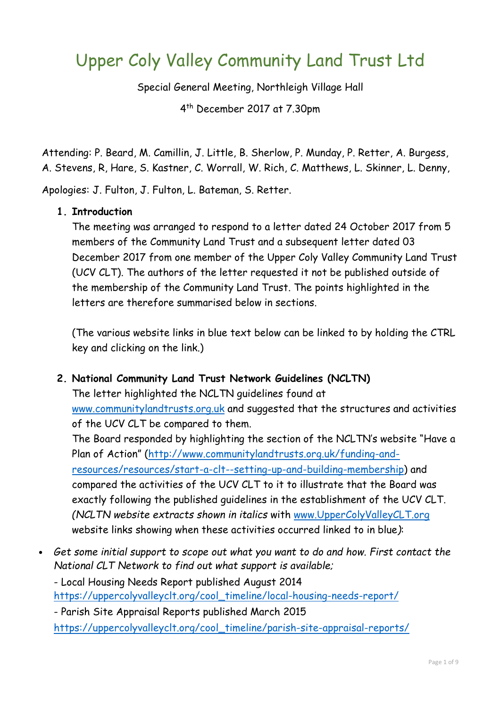# Upper Coly Valley Community Land Trust Ltd

Special General Meeting, Northleigh Village Hall

4 th December 2017 at 7.30pm

Attending: P. Beard, M. Camillin, J. Little, B. Sherlow, P. Munday, P. Retter, A. Burgess, A. Stevens, R, Hare, S. Kastner, C. Worrall, W. Rich, C. Matthews, L. Skinner, L. Denny,

Apologies: J. Fulton, J. Fulton, L. Bateman, S. Retter.

#### **1. Introduction**

The meeting was arranged to respond to a letter dated 24 October 2017 from 5 members of the Community Land Trust and a subsequent letter dated 03 December 2017 from one member of the Upper Coly Valley Community Land Trust (UCV CLT). The authors of the letter requested it not be published outside of the membership of the Community Land Trust. The points highlighted in the letters are therefore summarised below in sections.

(The various website links in blue text below can be linked to by holding the CTRL key and clicking on the link.)

# **2. National Community Land Trust Network Guidelines (NCLTN)**

The letter highlighted the NCLTN guidelines found at www.communitylandtrusts.org.uk and suggested that the structures and activities of the UCV CLT be compared to them.

The Board responded by highlighting the section of the NCLTN's website "Have a Plan of Action" (http://www.communitylandtrusts.org.uk/funding-andresources/resources/start-a-clt--setting-up-and-building-membership) and compared the activities of the UCV CLT to it to illustrate that the Board was exactly following the published guidelines in the establishment of the UCV CLT. *(NCLTN website extracts shown in italics* with www.UpperColyValleyCLT.org website links showing when these activities occurred linked to in blue*)*:

• *Get some initial support to scope out what you want to do and how. First contact the National CLT Network to find out what support is available;* 

- Local Housing Needs Report published August 2014 https://uppercolyvalleyclt.org/cool\_timeline/local-housing-needs-report/ - Parish Site Appraisal Reports published March 2015

https://uppercolyvalleyclt.org/cool\_timeline/parish-site-appraisal-reports/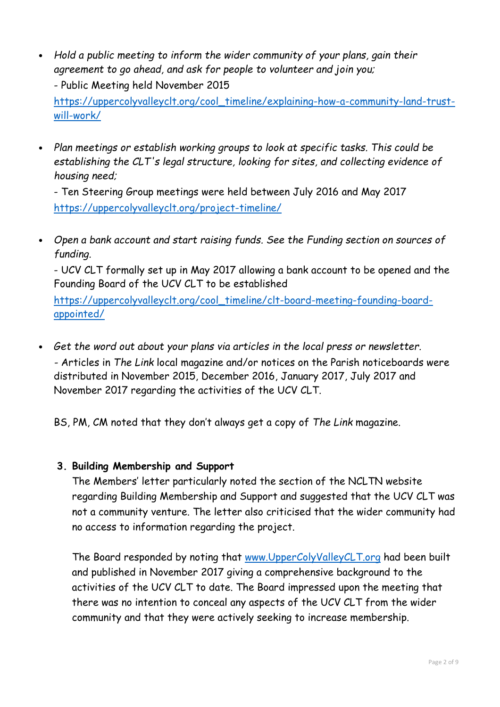• *Hold a public meeting to inform the wider community of your plans, gain their agreement to go ahead, and ask for people to volunteer and join you;*  - Public Meeting held November 2015

https://uppercolyvalleyclt.org/cool\_timeline/explaining-how-a-community-land-trustwill-work/

• *Plan meetings or establish working groups to look at specific tasks. This could be establishing the CLT's legal structure, looking for sites, and collecting evidence of housing need;* 

- Ten Steering Group meetings were held between July 2016 and May 2017 https://uppercolyvalleyclt.org/project-timeline/

• *Open a bank account and start raising funds. See the Funding section on sources of funding.* 

- UCV CLT formally set up in May 2017 allowing a bank account to be opened and the Founding Board of the UCV CLT to be established

https://uppercolyvalleyclt.org/cool\_timeline/clt-board-meeting-founding-boardappointed/

• *Get the word out about your plans via articles in the local press or newsletter. -* Articles in *The Link* local magazine and/or notices on the Parish noticeboards were distributed in November 2015, December 2016, January 2017, July 2017 and November 2017 regarding the activities of the UCV CLT.

BS, PM, CM noted that they don't always get a copy of *The Link* magazine.

# **3. Building Membership and Support**

The Members' letter particularly noted the section of the NCLTN website regarding Building Membership and Support and suggested that the UCV CLT was not a community venture. The letter also criticised that the wider community had no access to information regarding the project.

The Board responded by noting that www.UpperColyValleyCLT.org had been built and published in November 2017 giving a comprehensive background to the activities of the UCV CLT to date. The Board impressed upon the meeting that there was no intention to conceal any aspects of the UCV CLT from the wider community and that they were actively seeking to increase membership.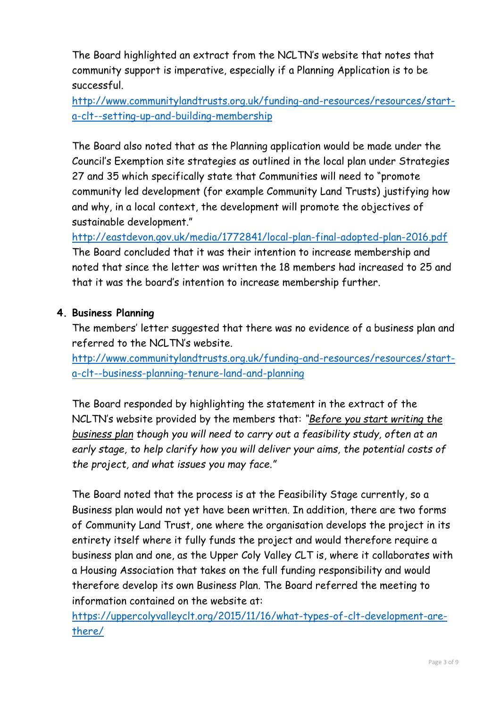The Board highlighted an extract from the NCLTN's website that notes that community support is imperative, especially if a Planning Application is to be successful.

http://www.communitylandtrusts.org.uk/funding-and-resources/resources/starta-clt--setting-up-and-building-membership

The Board also noted that as the Planning application would be made under the Council's Exemption site strategies as outlined in the local plan under Strategies 27 and 35 which specifically state that Communities will need to "promote community led development (for example Community Land Trusts) justifying how and why, in a local context, the development will promote the objectives of sustainable development."

http://eastdevon.gov.uk/media/1772841/local-plan-final-adopted-plan-2016.pdf The Board concluded that it was their intention to increase membership and noted that since the letter was written the 18 members had increased to 25 and that it was the board's intention to increase membership further.

# **4. Business Planning**

The members' letter suggested that there was no evidence of a business plan and referred to the NCLTN's website.

http://www.communitylandtrusts.org.uk/funding-and-resources/resources/starta-clt--business-planning-tenure-land-and-planning

The Board responded by highlighting the statement in the extract of the NCLTN's website provided by the members that: *"Before you start writing the business plan though you will need to carry out a feasibility study, often at an early stage, to help clarify how you will deliver your aims, the potential costs of the project, and what issues you may face."* 

The Board noted that the process is at the Feasibility Stage currently, so a Business plan would not yet have been written. In addition, there are two forms of Community Land Trust, one where the organisation develops the project in its entirety itself where it fully funds the project and would therefore require a business plan and one, as the Upper Coly Valley CLT is, where it collaborates with a Housing Association that takes on the full funding responsibility and would therefore develop its own Business Plan. The Board referred the meeting to information contained on the website at:

https://uppercolyvalleyclt.org/2015/11/16/what-types-of-clt-development-arethere/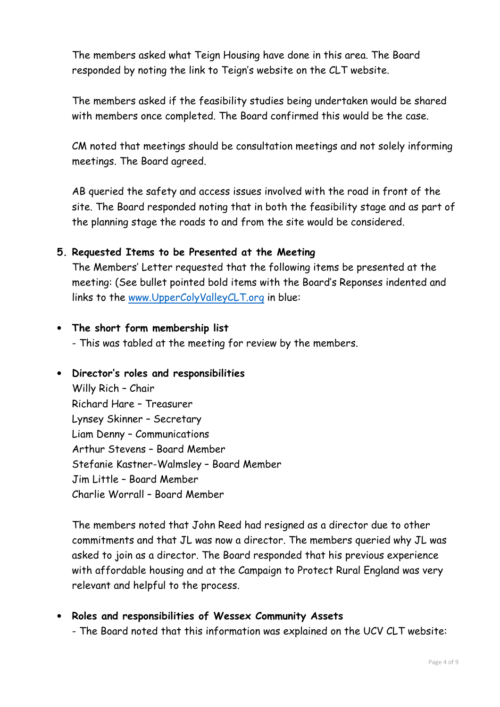The members asked what Teign Housing have done in this area. The Board responded by noting the link to Teign's website on the CLT website.

The members asked if the feasibility studies being undertaken would be shared with members once completed. The Board confirmed this would be the case.

CM noted that meetings should be consultation meetings and not solely informing meetings. The Board agreed.

AB queried the safety and access issues involved with the road in front of the site. The Board responded noting that in both the feasibility stage and as part of the planning stage the roads to and from the site would be considered.

#### **5. Requested Items to be Presented at the Meeting**

The Members' Letter requested that the following items be presented at the meeting: (See bullet pointed bold items with the Board's Reponses indented and links to the www.UpperColyValleyCLT.org in blue:

#### • **The short form membership list**

- This was tabled at the meeting for review by the members.

#### • **Director's roles and responsibilities**

Willy Rich – Chair Richard Hare – Treasurer Lynsey Skinner – Secretary Liam Denny – Communications Arthur Stevens – Board Member Stefanie Kastner-Walmsley – Board Member Jim Little – Board Member Charlie Worrall – Board Member

The members noted that John Reed had resigned as a director due to other commitments and that JL was now a director. The members queried why JL was asked to join as a director. The Board responded that his previous experience with affordable housing and at the Campaign to Protect Rural England was very relevant and helpful to the process.

• **Roles and responsibilities of Wessex Community Assets**  - The Board noted that this information was explained on the UCV CLT website: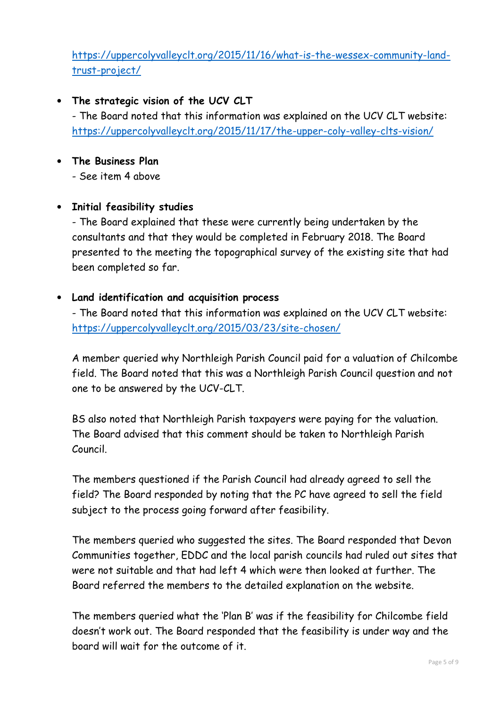https://uppercolyvalleyclt.org/2015/11/16/what-is-the-wessex-community-landtrust-project/

# • **The strategic vision of the UCV CLT**

- The Board noted that this information was explained on the UCV CLT website: https://uppercolyvalleyclt.org/2015/11/17/the-upper-coly-valley-clts-vision/

• **The Business Plan** 

- See item 4 above

# • **Initial feasibility studies**

- The Board explained that these were currently being undertaken by the consultants and that they would be completed in February 2018. The Board presented to the meeting the topographical survey of the existing site that had been completed so far.

#### • **Land identification and acquisition process**

- The Board noted that this information was explained on the UCV CLT website: https://uppercolyvalleyclt.org/2015/03/23/site-chosen/

A member queried why Northleigh Parish Council paid for a valuation of Chilcombe field. The Board noted that this was a Northleigh Parish Council question and not one to be answered by the UCV-CLT.

BS also noted that Northleigh Parish taxpayers were paying for the valuation. The Board advised that this comment should be taken to Northleigh Parish Council.

The members questioned if the Parish Council had already agreed to sell the field? The Board responded by noting that the PC have agreed to sell the field subject to the process going forward after feasibility.

The members queried who suggested the sites. The Board responded that Devon Communities together, EDDC and the local parish councils had ruled out sites that were not suitable and that had left 4 which were then looked at further. The Board referred the members to the detailed explanation on the website.

The members queried what the 'Plan B' was if the feasibility for Chilcombe field doesn't work out. The Board responded that the feasibility is under way and the board will wait for the outcome of it.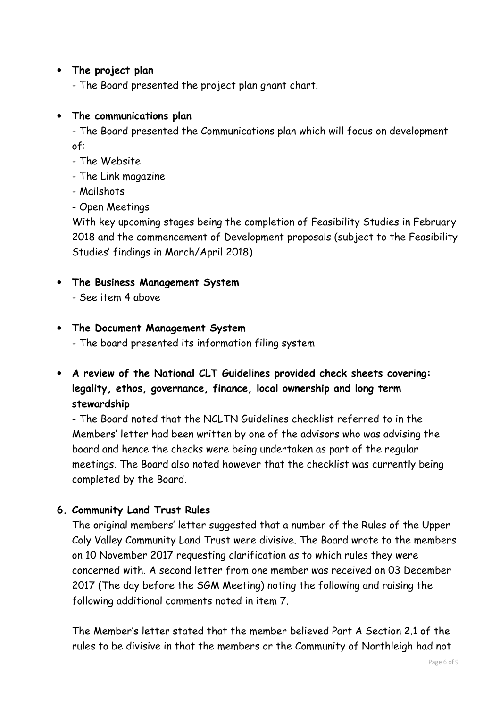#### • **The project plan**

- The Board presented the project plan ghant chart.

#### • **The communications plan**

- The Board presented the Communications plan which will focus on development of:

- The Website
- The Link magazine
- Mailshots
- Open Meetings

With key upcoming stages being the completion of Feasibility Studies in February 2018 and the commencement of Development proposals (subject to the Feasibility Studies' findings in March/April 2018)

- **The Business Management System** 
	- See item 4 above

#### • **The Document Management System**

- The board presented its information filing system
- **A review of the National CLT Guidelines provided check sheets covering: legality, ethos, governance, finance, local ownership and long term stewardship**

- The Board noted that the NCLTN Guidelines checklist referred to in the Members' letter had been written by one of the advisors who was advising the board and hence the checks were being undertaken as part of the regular meetings. The Board also noted however that the checklist was currently being completed by the Board.

# **6. Community Land Trust Rules**

The original members' letter suggested that a number of the Rules of the Upper Coly Valley Community Land Trust were divisive. The Board wrote to the members on 10 November 2017 requesting clarification as to which rules they were concerned with. A second letter from one member was received on 03 December 2017 (The day before the SGM Meeting) noting the following and raising the following additional comments noted in item 7.

The Member's letter stated that the member believed Part A Section 2.1 of the rules to be divisive in that the members or the Community of Northleigh had not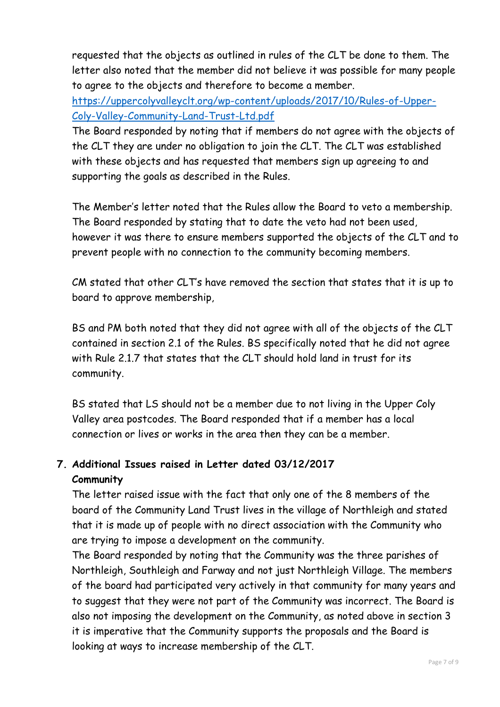requested that the objects as outlined in rules of the CLT be done to them. The letter also noted that the member did not believe it was possible for many people to agree to the objects and therefore to become a member.

https://uppercolyvalleyclt.org/wp-content/uploads/2017/10/Rules-of-Upper-Coly-Valley-Community-Land-Trust-Ltd.pdf

The Board responded by noting that if members do not agree with the objects of the CLT they are under no obligation to join the CLT. The CLT was established with these objects and has requested that members sign up agreeing to and supporting the goals as described in the Rules.

The Member's letter noted that the Rules allow the Board to veto a membership. The Board responded by stating that to date the veto had not been used, however it was there to ensure members supported the objects of the CLT and to prevent people with no connection to the community becoming members.

CM stated that other CLT's have removed the section that states that it is up to board to approve membership,

BS and PM both noted that they did not agree with all of the objects of the CLT contained in section 2.1 of the Rules. BS specifically noted that he did not agree with Rule 2.1.7 that states that the CLT should hold land in trust for its community.

BS stated that LS should not be a member due to not living in the Upper Coly Valley area postcodes. The Board responded that if a member has a local connection or lives or works in the area then they can be a member.

# **7. Additional Issues raised in Letter dated 03/12/2017 Community**

The letter raised issue with the fact that only one of the 8 members of the board of the Community Land Trust lives in the village of Northleigh and stated that it is made up of people with no direct association with the Community who are trying to impose a development on the community.

The Board responded by noting that the Community was the three parishes of Northleigh, Southleigh and Farway and not just Northleigh Village. The members of the board had participated very actively in that community for many years and to suggest that they were not part of the Community was incorrect. The Board is also not imposing the development on the Community, as noted above in section 3 it is imperative that the Community supports the proposals and the Board is looking at ways to increase membership of the CLT.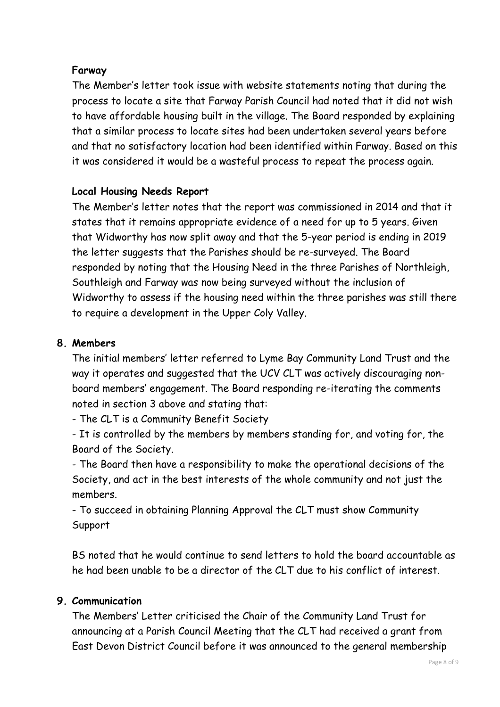# **Farway**

The Member's letter took issue with website statements noting that during the process to locate a site that Farway Parish Council had noted that it did not wish to have affordable housing built in the village. The Board responded by explaining that a similar process to locate sites had been undertaken several years before and that no satisfactory location had been identified within Farway. Based on this it was considered it would be a wasteful process to repeat the process again.

# **Local Housing Needs Report**

The Member's letter notes that the report was commissioned in 2014 and that it states that it remains appropriate evidence of a need for up to 5 years. Given that Widworthy has now split away and that the 5-year period is ending in 2019 the letter suggests that the Parishes should be re-surveyed. The Board responded by noting that the Housing Need in the three Parishes of Northleigh, Southleigh and Farway was now being surveyed without the inclusion of Widworthy to assess if the housing need within the three parishes was still there to require a development in the Upper Coly Valley.

# **8. Members**

The initial members' letter referred to Lyme Bay Community Land Trust and the way it operates and suggested that the UCV CLT was actively discouraging nonboard members' engagement. The Board responding re-iterating the comments noted in section 3 above and stating that:

- The CLT is a Community Benefit Society

- It is controlled by the members by members standing for, and voting for, the Board of the Society.

- The Board then have a responsibility to make the operational decisions of the Society, and act in the best interests of the whole community and not just the members.

- To succeed in obtaining Planning Approval the CLT must show Community Support

BS noted that he would continue to send letters to hold the board accountable as he had been unable to be a director of the CLT due to his conflict of interest.

# **9. Communication**

The Members' Letter criticised the Chair of the Community Land Trust for announcing at a Parish Council Meeting that the CLT had received a grant from East Devon District Council before it was announced to the general membership